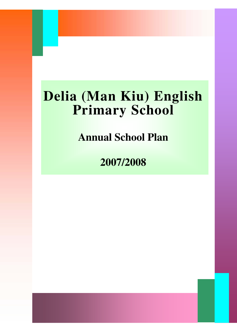# **Delia (Man Kiu) English Primary School**

**Annual School Plan**

**2007/2008**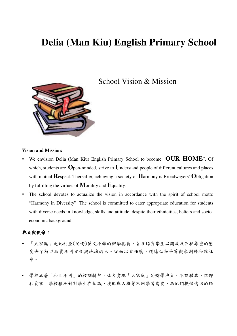## **Delia (Man Kiu) English Primary School**



School Vision & Mission

#### **Vision and Mission:**

- We envision Delia (Man Kiu) English Primary School to become "**OUR HOME**". Of which, students are **O**pen-minded, strive to **U**nderstand people of different cultures and places with mutual **R**espect. Thereafter, achieving a society of **H**armony is Broadwayers' **O**bligation by fulfilling the virtues of **M**orality and **E**quality.
- The school devotes to actualize the vision in accordance with the spirit of school motto "Harmony in Diversity". The school is committed to cater appropriate education for students with diverse needs in knowledge, skills and attitude, despite their ethnicities, beliefs and socioeconomic background.

#### 抱負與使命:

- 「大家庭」是地利亞(閩僑)英文小學的辦學抱負,旨在培育學生以開放及互相尊重的態 度去了解並欣賞不同文化與地域的人。從而以責任感、道德心和平等觀來創造和諧社 會。
- 學校本著「和而不同」的校訓精神,致力實現「大家庭」的辦學抱負。不論種族、信仰 和貧富,學校積極針對學生在知識、技能與人格等不同學習需要、為他們提供適切的培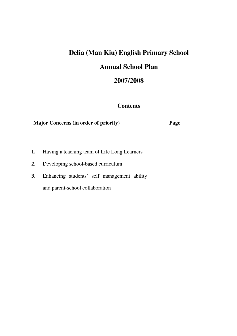# **Delia (Man Kiu) English Primary School Annual School Plan**

### **2007/2008**

#### **Contents**

### **Major Concerns (in order of priority) Page**

- **1.** Having a teaching team of Life Long Learners
- **2.** Developing school-based curriculum
- **3.** Enhancing students' self management ability and parent-school collaboration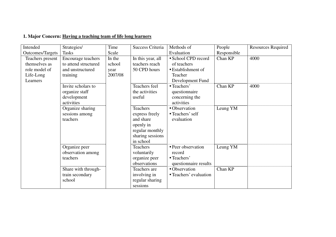### **1. Major Concern: Having a teaching team of life long learners**

| Intended                | Strategies/          | Time    | <b>Success Criteria</b> | Methods of             | People      | <b>Resources Required</b> |
|-------------------------|----------------------|---------|-------------------------|------------------------|-------------|---------------------------|
| <b>Outcomes/Targets</b> | <b>Tasks</b>         | Scale   |                         | Evaluation             | Responsible |                           |
| Teachers present        | Encourage teachers   | In the  | In this year, all       | • School CPD record    | Chan KP     | 4000                      |
| themselves as           | to attend structured | school  | teachers reach          | of teachers            |             |                           |
| role model of           | and unstructured     | year    | 50 CPD hours            | • Establishment of     |             |                           |
| Life-Long               | training             | 2007/08 |                         | Teacher                |             |                           |
| Learners                |                      |         |                         | Development Fund       |             |                           |
|                         | Invite scholars to   |         | Teachers feel           | • Teachers'            | Chan KP     | 4000                      |
|                         | organize staff       |         | the activities          | questionnaire          |             |                           |
|                         | development          |         | useful                  | concerning the         |             |                           |
|                         | activities           |         |                         | activities             |             |                           |
|                         | Organize sharing     |         | <b>Teachers</b>         | • Observation          | Leung YM    |                           |
|                         | sessions among       |         | express freely          | • Teachers' self       |             |                           |
|                         | teachers             |         | and share               | evaluation             |             |                           |
|                         |                      |         | openly in               |                        |             |                           |
|                         |                      |         | regular monthly         |                        |             |                           |
|                         |                      |         | sharing sessions        |                        |             |                           |
|                         |                      |         | in school               |                        |             |                           |
|                         | Organize peer        |         | <b>Teachers</b>         | • Peer observation     | Leung YM    |                           |
|                         | observation among    |         | voluntarily             | record                 |             |                           |
|                         | teachers             |         | organize peer           | • Teachers'            |             |                           |
|                         |                      |         | observations            | questionnaire results  |             |                           |
|                         | Share with through-  |         | Teachers are            | • Observation          | Chan KP     |                           |
|                         | train secondary      |         | involving in            | • Teachers' evaluation |             |                           |
|                         | school               |         | regular sharing         |                        |             |                           |
|                         |                      |         | sessions                |                        |             |                           |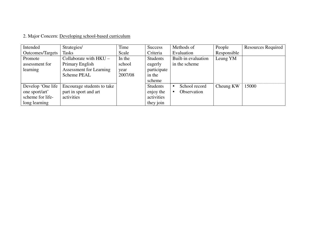### 2. Major Concern: Developing school-based curriculum

| Intended                | Strategies/                | Time    | <b>Success</b>  | Methods of          | People      | Resources Required |
|-------------------------|----------------------------|---------|-----------------|---------------------|-------------|--------------------|
| <b>Outcomes/Targets</b> | <b>Tasks</b>               | Scale   | Criteria        | Evaluation          | Responsible |                    |
| Promote                 | Collaborate with $HKU -$   | In the  | <b>Students</b> | Built-in evaluation | Leung YM    |                    |
| assessment for          | Primary English            | school  | eagerly         | in the scheme       |             |                    |
| learning                | Assessment for Learning    | year    | participate     |                     |             |                    |
|                         | <b>Scheme PEAL</b>         | 2007/08 | in the          |                     |             |                    |
|                         |                            |         | scheme          |                     |             |                    |
| Develop 'One life       | Encourage students to take |         | Students        | School record       | Cheung KW   | 15000              |
| one sport/art'          | part in sport and art      |         | enjoy the       | Observation         |             |                    |
| scheme for life-        | activities                 |         | activities      |                     |             |                    |
| long learning           |                            |         | they join       |                     |             |                    |